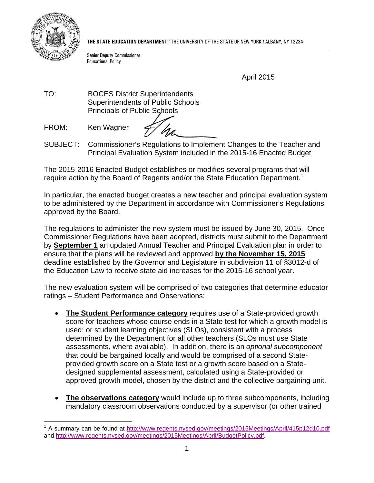

 $\overline{a}$ 

**THE STATE EDUCATION DEPARTMENT** / THE UNIVERSITY OF THE STATE OF NEW YORK / ALBANY, NY 12234

Senior Deputy Commissioner Educational Policy

April 2015

TO: BOCES District Superintendents Superintendents of Public Schools Principals of Public Schools

FROM: Ken Wagner

SUBJECT: Commissioner's Regulations to Implement Changes to the Teacher and Principal Evaluation System included in the 2015-16 Enacted Budget

The 2015-2016 Enacted Budget establishes or modifies several programs that will require action by the Board of Regents and/or the State Education Department.<sup>1</sup>

In particular, the enacted budget creates a new teacher and principal evaluation system to be administered by the Department in accordance with Commissioner's Regulations approved by the Board.

The regulations to administer the new system must be issued by June 30, 2015. Once Commissioner Regulations have been adopted, districts must submit to the Department by **September 1** an updated Annual Teacher and Principal Evaluation plan in order to ensure that the plans will be reviewed and approved **by the November 15, 2015** deadline established by the Governor and Legislature in subdivision 11 of §3012-d of the Education Law to receive state aid increases for the 2015-16 school year.

The new evaluation system will be comprised of two categories that determine educator ratings – Student Performance and Observations:

- **The Student Performance category** requires use of a State-provided growth score for teachers whose course ends in a State test for which a growth model is used; or student learning objectives (SLOs), consistent with a process determined by the Department for all other teachers (SLOs must use State assessments, where available). In addition, there is an *optional subcomponent* that could be bargained locally and would be comprised of a second Stateprovided growth score on a State test or a growth score based on a Statedesigned supplemental assessment, calculated using a State-provided or approved growth model, chosen by the district and the collective bargaining unit.
- **The observations category** would include up to three subcomponents, including mandatory classroom observations conducted by a supervisor (or other trained

<sup>&</sup>lt;sup>1</sup> A summary can be found at http://www.regents.nysed.gov/meetings/2015Meetings/April/415p12d10.pdf and http://www.regents.nysed.gov/meetings/2015Meetings/April/BudgetPolicy.pdf.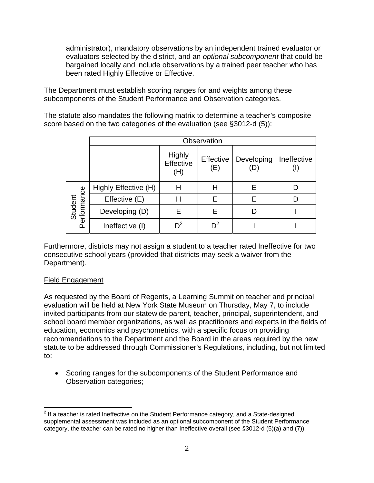administrator), mandatory observations by an independent trained evaluator or evaluators selected by the district, and an *optional subcomponent* that could be bargained locally and include observations by a trained peer teacher who has been rated Highly Effective or Effective.

The Department must establish scoring ranges for and weights among these subcomponents of the Student Performance and Observation categories.

The statute also mandates the following matrix to determine a teacher's composite score based on the two categories of the evaluation (see §3012-d (5)):

|                        | Observation          |                                   |                  |                   |             |
|------------------------|----------------------|-----------------------------------|------------------|-------------------|-------------|
|                        |                      | <b>Highly</b><br>Effective<br>(H) | Effective<br>(E) | Developing<br>(D) | Ineffective |
| Student<br>Performance | Highly Effective (H) | н                                 | н                | Е                 |             |
|                        | Effective (E)        | н                                 | Е                | Е                 |             |
|                        | Developing (D)       | Е                                 | E                | D                 |             |
|                        | Ineffective (I)      | $\mathsf{D}^2$                    | ηż               |                   |             |

Furthermore, districts may not assign a student to a teacher rated Ineffective for two consecutive school years (provided that districts may seek a waiver from the Department).

## Field Engagement

As requested by the Board of Regents, a Learning Summit on teacher and principal evaluation will be held at New York State Museum on Thursday, May 7, to include invited participants from our statewide parent, teacher, principal, superintendent, and school board member organizations, as well as practitioners and experts in the fields of education, economics and psychometrics, with a specific focus on providing recommendations to the Department and the Board in the areas required by the new statute to be addressed through Commissioner's Regulations, including, but not limited to:

• Scoring ranges for the subcomponents of the Student Performance and Observation categories;

 $\overline{a}$  $2$  If a teacher is rated Ineffective on the Student Performance category, and a State-designed supplemental assessment was included as an optional subcomponent of the Student Performance category, the teacher can be rated no higher than Ineffective overall (see §3012-d (5)(a) and (7)).